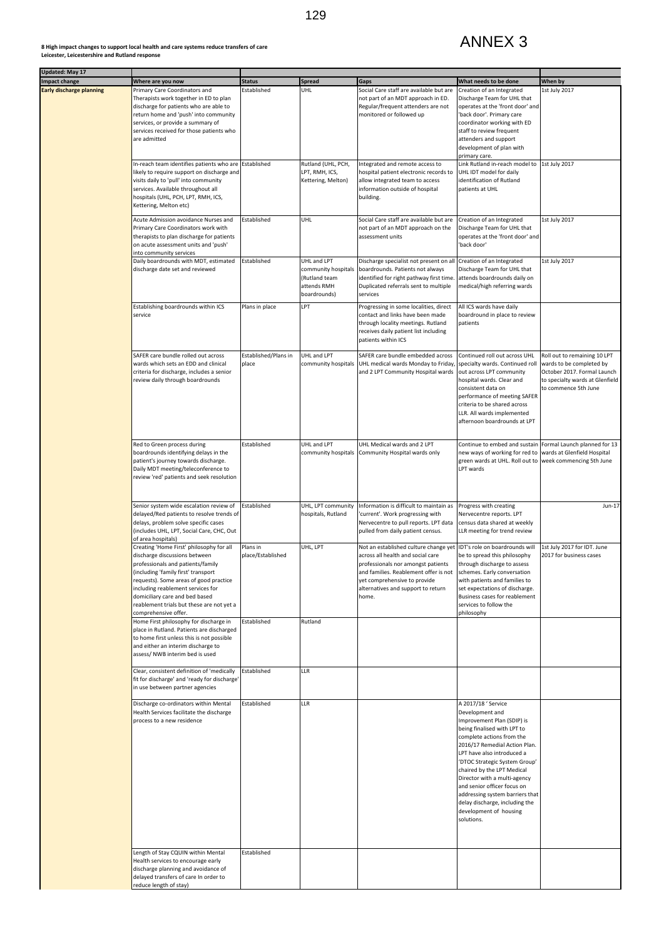| Updated: May 17                 |                                                                                                                                                                                                                                                                                                                                             |                               |                                                                                    |                                                                                                                                                                                                                                                                          |                                                                                                                                                                                                                                                                                                                                                                                                                                            |                                                                                                                                                    |
|---------------------------------|---------------------------------------------------------------------------------------------------------------------------------------------------------------------------------------------------------------------------------------------------------------------------------------------------------------------------------------------|-------------------------------|------------------------------------------------------------------------------------|--------------------------------------------------------------------------------------------------------------------------------------------------------------------------------------------------------------------------------------------------------------------------|--------------------------------------------------------------------------------------------------------------------------------------------------------------------------------------------------------------------------------------------------------------------------------------------------------------------------------------------------------------------------------------------------------------------------------------------|----------------------------------------------------------------------------------------------------------------------------------------------------|
| <b>Impact change</b>            | Where are you now                                                                                                                                                                                                                                                                                                                           | <b>Status</b>                 | <b>Spread</b>                                                                      | Gaps                                                                                                                                                                                                                                                                     | What needs to be done                                                                                                                                                                                                                                                                                                                                                                                                                      | When by                                                                                                                                            |
| <b>Early discharge planning</b> | Primary Care Coordinators and<br>Therapists work together in ED to plan<br>discharge for patients who are able to<br>return home and 'push' into community<br>services, or provide a summary of<br>services received for those patients who<br>are admitted                                                                                 | Established                   | <b>UHL</b>                                                                         | Social Care staff are available but are<br>not part of an MDT approach in ED.<br>Regular/frequent attenders are not<br>monitored or followed up                                                                                                                          | Creation of an Integrated<br>Discharge Team for UHL that<br>operates at the 'front door' and<br>'back door'. Primary care<br>coordinator working with ED<br>staff to review frequent<br>attenders and support<br>development of plan with<br>primary care.                                                                                                                                                                                 | 1st July 2017                                                                                                                                      |
|                                 | In-reach team identifies patients who are Established<br>likely to require support on discharge and<br>visits daily to 'pull' into community<br>services. Available throughout all<br>hospitals (UHL, PCH, LPT, RMH, ICS,<br>Kettering, Melton etc)                                                                                         |                               | Rutland (UHL, PCH,<br>LPT, RMH, ICS,<br>Kettering, Melton)                         | Integrated and remote access to<br>hospital patient electronic records to<br>allow integrated team to access<br>information outside of hospital<br>building.                                                                                                             | Link Rutland in-reach model to<br>UHL IDT model for daily<br>identification of Rutland<br>patients at UHL                                                                                                                                                                                                                                                                                                                                  | 1st July 2017                                                                                                                                      |
|                                 | Acute Admission avoidance Nurses and<br>Primary Care Coordinators work with<br>therapists to plan discharge for patients<br>on acute assessment units and 'push'<br>into community services                                                                                                                                                 | Established                   | <b>UHL</b>                                                                         | Social Care staff are available but are<br>not part of an MDT approach on the<br>assessment units                                                                                                                                                                        | Creation of an Integrated<br>Discharge Team for UHL that<br>operates at the 'front door' and<br>'back door'                                                                                                                                                                                                                                                                                                                                | 1st July 2017                                                                                                                                      |
|                                 | Daily boardrounds with MDT, estimated<br>discharge date set and reviewed                                                                                                                                                                                                                                                                    | Established                   | UHL and LPT<br>community hospitals<br>(Rutland team<br>attends RMH<br>boardrounds) | Discharge specialist not present on all Creation of an Integrated<br>boardrounds. Patients not always<br>identified for right pathway first time.<br>Duplicated referrals sent to multiple<br>services                                                                   | Discharge Team for UHL that<br>attends boardrounds daily on<br>medical/high referring wards                                                                                                                                                                                                                                                                                                                                                | 1st July 2017                                                                                                                                      |
|                                 | Establishing boardrounds within ICS<br>service                                                                                                                                                                                                                                                                                              | Plans in place                | <b>LPT</b>                                                                         | Progressing in some localities, direct<br>contact and links have been made<br>through locality meetings. Rutland<br>receives daily patient list including<br>patients within ICS                                                                                         | All ICS wards have daily<br>boardround in place to review<br>patients                                                                                                                                                                                                                                                                                                                                                                      |                                                                                                                                                    |
|                                 | SAFER care bundle rolled out across<br>wards which sets an EDD and clinical<br>criteria for discharge, includes a senior<br>review daily through boardrounds                                                                                                                                                                                | Established/Plans in<br>place | UHL and LPT<br>community hospitals                                                 | SAFER care bundle embedded across<br>UHL medical wards Monday to Friday,<br>and 2 LPT Community Hospital wards                                                                                                                                                           | Continued roll out across UHL<br>specialty wards. Continued roll<br>out across LPT community<br>hospital wards. Clear and<br>consistent data on<br>performance of meeting SAFER<br>criteria to be shared across<br>LLR. All wards implemented<br>afternoon boardrounds at LPT                                                                                                                                                              | Roll out to remaining 10 LPT<br>wards to be completed by<br>October 2017. Formal Launch<br>to specialty wards at Glenfield<br>to commence 5th June |
|                                 | Red to Green process during<br>boardrounds identifying delays in the<br>patient's journey towards discharge.<br>Daily MDT meeting/teleconference to<br>review 'red' patients and seek resolution                                                                                                                                            | Established                   | UHL and LPT<br>community hospitals                                                 | UHL Medical wards and 2 LPT<br>Community Hospital wards only                                                                                                                                                                                                             | Continue to embed and sustain Formal Launch planned for 13<br>new ways of working for red to wards at Glenfield Hospital<br>green wards at UHL. Roll out to week commencing 5th June<br>LPT wards                                                                                                                                                                                                                                          |                                                                                                                                                    |
|                                 | Senior system wide escalation review of<br>delayed/Red patients to resolve trends of<br>delays, problem solve specific cases<br>(includes UHL, LPT, Social Care, CHC, Out<br>of area hospitals)                                                                                                                                             | Established                   | UHL, LPT community<br>hospitals, Rutland                                           | Information is difficult to maintain as<br>'current'. Work progressing with<br>Nervecentre to pull reports. LPT data<br>pulled from daily patient census.                                                                                                                | Progress with creating<br>Nervecentre reports. LPT<br>census data shared at weekly<br>LLR meeting for trend review                                                                                                                                                                                                                                                                                                                         | Jun-17                                                                                                                                             |
|                                 | Creating 'Home First' philosophy for all<br>discharge discussions between<br>professionals and patients/family<br>(including 'family first' transport<br>requests). Some areas of good practice<br>including reablement services for<br>domiciliary care and bed based<br>reablement trials but these are not yet a<br>comprehensive offer. | Plans in<br>place/Established | UHL, LPT                                                                           | Not an established culture change yet  IDT's role on boardrounds will<br>across all health and social care<br>professionals nor amongst patients<br>and families. Reablement offer is not<br>yet comprehensive to provide<br>alternatives and support to return<br>home. | be to spread this philosophy<br>through discharge to assess<br>schemes. Early conversation<br>with patients and families to<br>set expectations of discharge.<br>Business cases for reablement<br>services to follow the<br>philosophy                                                                                                                                                                                                     | 1st July 2017 for IDT. June<br>2017 for business cases                                                                                             |
|                                 | Home First philosophy for discharge in<br>place in Rutland. Patients are discharged<br>to home first unless this is not possible<br>and either an interim discharge to<br>assess/ NWB interim bed is used                                                                                                                                   | Established                   | Rutland                                                                            |                                                                                                                                                                                                                                                                          |                                                                                                                                                                                                                                                                                                                                                                                                                                            |                                                                                                                                                    |
|                                 | Clear, consistent definition of 'medically<br>fit for discharge' and 'ready for discharge'<br>in use between partner agencies                                                                                                                                                                                                               | Established                   | LLR                                                                                |                                                                                                                                                                                                                                                                          |                                                                                                                                                                                                                                                                                                                                                                                                                                            |                                                                                                                                                    |
|                                 | Discharge co-ordinators within Mental<br>Health Services facilitate the discharge<br>process to a new residence                                                                                                                                                                                                                             | Established                   | <b>LLR</b>                                                                         |                                                                                                                                                                                                                                                                          | A 2017/18 ' Service<br>Development and<br>Improvement Plan (SDIP) is<br>being finalised with LPT to<br>complete actions from the<br>2016/17 Remedial Action Plan.<br>LPT have also introduced a<br>'DTOC Strategic System Group'<br>chaired by the LPT Medical<br>Director with a multi-agency<br>and senior officer focus on<br>addressing system barriers that<br>delay discharge, including the<br>development of housing<br>solutions. |                                                                                                                                                    |
|                                 | Length of Stay CQUIN within Mental<br>Health services to encourage early<br>discharge planning and avoidance of<br>delayed transfers of care In order to<br>reduce length of stay)                                                                                                                                                          | Established                   |                                                                                    |                                                                                                                                                                                                                                                                          |                                                                                                                                                                                                                                                                                                                                                                                                                                            |                                                                                                                                                    |

## **8 High impact changes to support local health and care systems reduce transfers of care Leicester, Leicestershire and Rutland response**

## ANNEX 3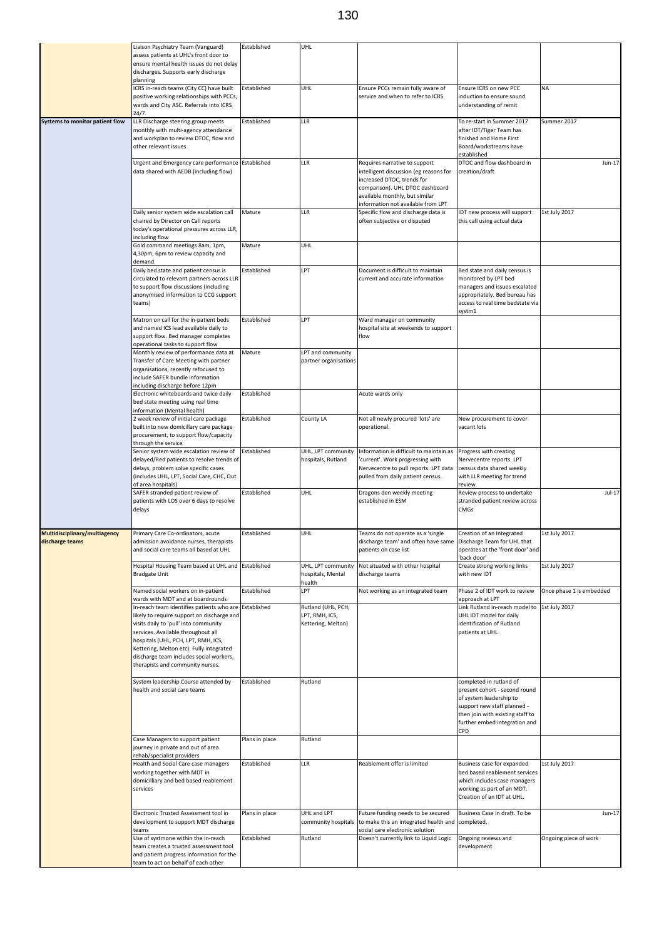|                                                  | Liaison Psychiatry Team (Vanguard)<br>assess patients at UHL's front door to<br>ensure mental health issues do not delay<br>discharges. Supports early discharge                                                                                                                                                                                     | Established        | <b>UHL</b>                                                 |                                                                                                                                                                                                                  |                                                                                                                                                                                         |                          |
|--------------------------------------------------|------------------------------------------------------------------------------------------------------------------------------------------------------------------------------------------------------------------------------------------------------------------------------------------------------------------------------------------------------|--------------------|------------------------------------------------------------|------------------------------------------------------------------------------------------------------------------------------------------------------------------------------------------------------------------|-----------------------------------------------------------------------------------------------------------------------------------------------------------------------------------------|--------------------------|
|                                                  | planning<br>ICRS in-reach teams (City CC) have built<br>positive working relationships with PCCs,<br>wards and City ASC. Referrals into ICRS<br>24/7.                                                                                                                                                                                                | Established        | <b>UHL</b>                                                 | Ensure PCCs remain fully aware of<br>service and when to refer to ICRS                                                                                                                                           | Ensure ICRS on new PCC<br>induction to ensure sound<br>understanding of remit                                                                                                           | <b>NA</b>                |
| Systems to monitor patient flow                  | LLR Discharge steering group meets<br>monthly with multi-agency attendance<br>and workplan to review DTOC, flow and<br>other relevant issues                                                                                                                                                                                                         | Established        | LLR                                                        |                                                                                                                                                                                                                  | To re-start in Summer 2017<br>after IDT/Tiger Team has<br>finished and Home First<br>Board/workstreams have<br>established                                                              | Summer 2017              |
|                                                  | Urgent and Emergency care performance Established<br>data shared with AEDB (including flow)                                                                                                                                                                                                                                                          |                    | <b>LLR</b>                                                 | Requires narrative to support<br>intelligent discussion (eg reasons for<br>increased DTOC, trends for<br>comparison). UHL DTOC dashboard<br>available monthly, but similar<br>information not available from LPT | DTOC and flow dashboard in<br>creation/draft                                                                                                                                            | Jun-17                   |
|                                                  | Daily senior system wide escalation call<br>chaired by Director on Call reports<br>today's operational pressures across LLR,<br>including flow                                                                                                                                                                                                       | Mature             | <b>LLR</b>                                                 | Specific flow and discharge data is<br>often subjective or disputed                                                                                                                                              | IDT new process will support<br>this call using actual data                                                                                                                             | 1st July 2017            |
|                                                  | Gold command meetings 8am, 1pm,<br>4,30pm, 6pm to review capacity and<br>demand                                                                                                                                                                                                                                                                      | Mature             | <b>UHL</b>                                                 |                                                                                                                                                                                                                  |                                                                                                                                                                                         |                          |
|                                                  | Daily bed state and patient census is<br>circulated to relevant partners across LLR<br>to support flow discussions (including<br>anonymised information to CCG support<br>teams)                                                                                                                                                                     | Established        | LPT                                                        | Document is difficult to maintain<br>current and accurate information                                                                                                                                            | Bed state and daily census is<br>monitored by LPT bed<br>managers and issues escalated<br>appropriately. Bed bureau has<br>access to real time bedstate via<br>systm1                   |                          |
|                                                  | Matron on call for the in-patient beds<br>and named ICS lead available daily to<br>support flow. Bed manager completes<br>operational tasks to support flow                                                                                                                                                                                          | Established        | LPT                                                        | Ward manager on community<br>hospital site at weekends to support<br>flow                                                                                                                                        |                                                                                                                                                                                         |                          |
|                                                  | Monthly review of performance data at<br>Transfer of Care Meeting with partner<br>organisations, recently refocused to<br>include SAFER bundle information<br>including discharge before 12pm                                                                                                                                                        | Mature             | LPT and community<br>partner organisations                 |                                                                                                                                                                                                                  |                                                                                                                                                                                         |                          |
|                                                  | Electronic whiteboards and twice daily<br>bed state meeting using real time                                                                                                                                                                                                                                                                          | <b>Established</b> |                                                            | Acute wards only                                                                                                                                                                                                 |                                                                                                                                                                                         |                          |
|                                                  | information (Mental health)<br>2 week review of initial care package<br>built into new domicillary care package<br>procurement, to support flow/capacity<br>through the service                                                                                                                                                                      | Established        | County LA                                                  | Not all newly procured 'lots' are<br>operational.                                                                                                                                                                | New procurement to cover<br>vacant lots                                                                                                                                                 |                          |
|                                                  | Senior system wide escalation review of<br>delayed/Red patients to resolve trends of<br>delays, problem solve specific cases<br>(includes UHL, LPT, Social Care, CHC, Out                                                                                                                                                                            | Established        | UHL, LPT community<br>hospitals, Rutland                   | Information is difficult to maintain as<br>'current'. Work progressing with<br>Nervecentre to pull reports. LPT data<br>pulled from daily patient census.                                                        | Progress with creating<br>Nervecentre reports. LPT<br>census data shared weekly<br>with LLR meeting for trend                                                                           |                          |
|                                                  | of area hospitals)<br>SAFER stranded patient review of<br>patients with LOS over 6 days to resolve<br>delays                                                                                                                                                                                                                                         | Established        | UHL                                                        | Dragons den weekly meeting<br>established in ESM                                                                                                                                                                 | review.<br>Review process to undertake<br>stranded patient review across<br><b>CMGs</b>                                                                                                 | $Jul-17$                 |
| Multidisciplinary/multiagency<br>discharge teams | Primary Care Co-ordinators, acute<br>admission avoidance nurses, therapists<br>and social care teams all based at UHL                                                                                                                                                                                                                                | Established        | <b>UHL</b>                                                 | Teams do not operate as a 'single<br>discharge team' and often have same<br>patients on case list                                                                                                                | Creation of an Integrated<br>Discharge Team for UHL that<br>operates at the 'front door' and<br>'back door'                                                                             | 1st July 2017            |
|                                                  | Hospital Housing Team based at UHL and Established<br><b>Bradgate Unit</b>                                                                                                                                                                                                                                                                           |                    | UHL, LPT community<br>hospitals, Mental<br>health          | Not situated with other hospital<br>discharge teams                                                                                                                                                              | Create strong working links<br>with new IDT                                                                                                                                             | 1st July 2017            |
|                                                  | Named social workers on in-patient<br>wards with MDT and at boardrounds                                                                                                                                                                                                                                                                              | Established        | LPT                                                        | Not working as an integrated team                                                                                                                                                                                | Phase 2 of IDT work to review<br>approach at LPT                                                                                                                                        | Once phase 1 is embedded |
|                                                  | In-reach team identifies patients who are Established<br>likely to require support on discharge and<br>visits daily to 'pull' into community<br>services. Available throughout all<br>hospitals (UHL, PCH, LPT, RMH, ICS,<br>Kettering, Melton etc). Fully integrated<br>discharge team includes social workers,<br>therapists and community nurses. |                    | Rutland (UHL, PCH,<br>LPT, RMH, ICS,<br>Kettering, Melton) |                                                                                                                                                                                                                  | Link Rutland in-reach model to<br>UHL IDT model for daily<br>identification of Rutland<br>patients at UHL                                                                               | 1st July 2017            |
|                                                  | System leadership Course attended by<br>health and social care teams                                                                                                                                                                                                                                                                                 | Established        | Rutland                                                    |                                                                                                                                                                                                                  | completed in rutland of<br>present cohort - second round<br>of system leadership to<br>support new staff planned -<br>then join with existing staff to<br>further embed integration and |                          |
|                                                  | Case Managers to support patient<br>journey in private and out of area<br>rehab/specialist providers                                                                                                                                                                                                                                                 | Plans in place     | Rutland                                                    |                                                                                                                                                                                                                  | CPD                                                                                                                                                                                     |                          |
|                                                  | Health and Social Care case managers<br>working together with MDT in<br>domicilliary and bed based reablement<br>services                                                                                                                                                                                                                            | Established        | <b>LLR</b>                                                 | Reablement offer is limited                                                                                                                                                                                      | Business case for expanded<br>bed based reablement services<br>which includes case managers<br>working as part of an MDT.<br>Creation of an IDT at UHL.                                 | 1st July 2017            |
|                                                  | Electronic Trusted Assessment tool in<br>development to support MDT discharge<br>teams                                                                                                                                                                                                                                                               | Plans in place     | UHL and LPT                                                | Future funding needs to be secured<br>community hospitals to make this an integrated health and<br>social care electronic solution                                                                               | Business Case in draft. To be<br>completed.                                                                                                                                             | Jun-17                   |
|                                                  | Use of systmone within the in-reach<br>team creates a trusted assessment tool<br>and patient progress information for the<br>team to act on behalf of each other                                                                                                                                                                                     | Established        | Rutland                                                    | Doesn't currently link to Liquid Logic                                                                                                                                                                           | Ongoing reviews and<br>development                                                                                                                                                      | Ongoing piece of work    |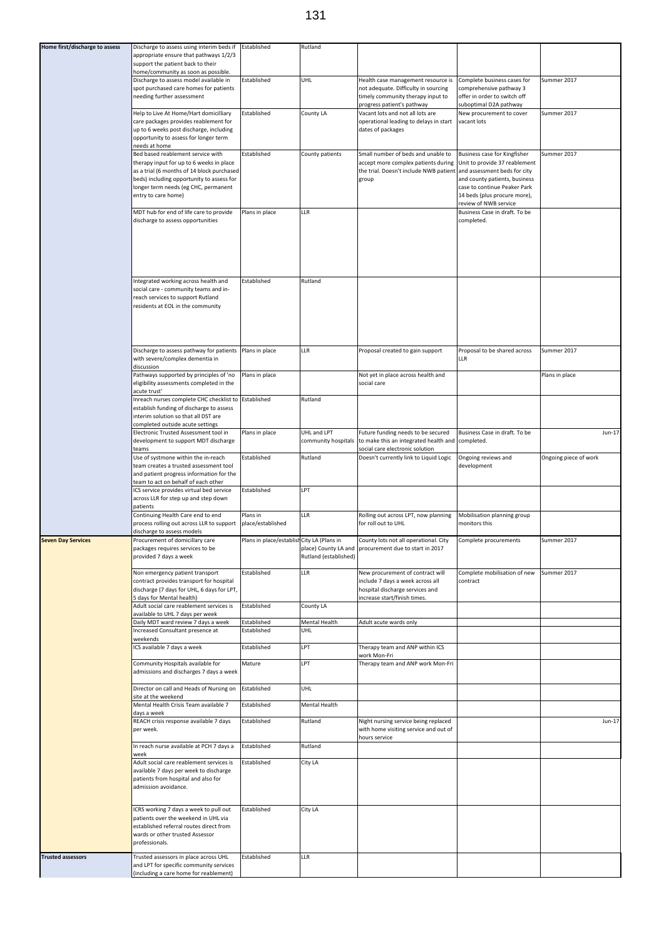| Home first/discharge to assess | Discharge to assess using interim beds if<br>appropriate ensure that pathways 1/2/3<br>support the patient back to their                                                                                                                        | Established                                | Rutland                                  |                                                                                                                                                                                         |                                                                                                                                                        |                       |
|--------------------------------|-------------------------------------------------------------------------------------------------------------------------------------------------------------------------------------------------------------------------------------------------|--------------------------------------------|------------------------------------------|-----------------------------------------------------------------------------------------------------------------------------------------------------------------------------------------|--------------------------------------------------------------------------------------------------------------------------------------------------------|-----------------------|
|                                | home/community as soon as possible.<br>Discharge to assess model available in<br>spot purchased care homes for patients<br>needing further assessment                                                                                           | Established                                | UHL                                      | Health case management resource is<br>not adequate. Difficulty in sourcing<br>timely community therapy input to                                                                         | Complete business cases for<br>comprehensive pathway 3<br>offer in order to switch off                                                                 | Summer 2017           |
|                                | Help to Live At Home/Hart domicilliary<br>care packages provides reablement for<br>up to 6 weeks post discharge, including<br>opportunity to assess for longer term<br>needs at home                                                            | Established                                | <b>County LA</b>                         | progress patient's pathway<br>Vacant lots and not all lots are<br>operational leading to delays in start<br>dates of packages                                                           | suboptimal D2A pathway<br>New procurement to cover<br>vacant lots                                                                                      | Summer 2017           |
|                                | Bed based reablement service with<br>therapy input for up to 6 weeks in place<br>as a trial (6 months of 14 block purchased<br>beds) including opportunity to assess for<br>longer term needs (eg CHC, permanent<br>entry to care home)         | Established                                | County patients                          | Small number of beds and unable to<br>accept more complex patients during Unit to provide 37 reablement<br>the trial. Doesn't include NWB patient and assessment beds for city<br>group | Business case for Kingfisher<br>and county patients, business<br>case to continue Peaker Park<br>14 beds (plus procure more),<br>review of NWB service | Summer 2017           |
|                                | MDT hub for end of life care to provide<br>discharge to assess opportunities                                                                                                                                                                    | Plans in place                             | <b>LLR</b>                               |                                                                                                                                                                                         | Business Case in draft. To be<br>completed.                                                                                                            |                       |
|                                | Integrated working across health and<br>social care - community teams and in-<br>reach services to support Rutland<br>residents at EOL in the community                                                                                         | Established                                | Rutland                                  |                                                                                                                                                                                         |                                                                                                                                                        |                       |
|                                | Discharge to assess pathway for patients   Plans in place<br>with severe/complex dementia in<br>discussion                                                                                                                                      |                                            | LLR                                      | Proposal created to gain support                                                                                                                                                        | Proposal to be shared across<br>LLR                                                                                                                    | Summer 2017           |
|                                | Pathways supported by principles of 'no<br>eligibility assessments completed in the<br>acute trust'<br>Inreach nurses complete CHC checklist to Established<br>establish funding of discharge to assess<br>interim solution so that all DST are | Plans in place                             | Rutland                                  | Not yet in place across health and<br>social care                                                                                                                                       |                                                                                                                                                        | Plans in place        |
|                                | completed outside acute settings<br>Electronic Trusted Assessment tool in<br>development to support MDT discharge<br>teams                                                                                                                      | Plans in place                             | UHL and LPT                              | Future funding needs to be secured<br>community hospitals to make this an integrated health and completed.<br>social care electronic solution                                           | Business Case in draft. To be                                                                                                                          | Jun-17                |
|                                | Use of systmone within the in-reach<br>team creates a trusted assessment tool<br>and patient progress information for the<br>team to act on behalf of each other                                                                                | Established                                | Rutland                                  | Doesn't currently link to Liquid Logic                                                                                                                                                  | Ongoing reviews and<br>development                                                                                                                     | Ongoing piece of work |
|                                | ICS service provides virtual bed service<br>across LLR for step up and step down<br>patients<br>Continuing Health Care end to end                                                                                                               | Established<br>Plans in                    | LPT<br><b>LLR</b>                        | Rolling out across LPT, now planning                                                                                                                                                    | Mobilisation planning group                                                                                                                            |                       |
|                                | process rolling out across LLR to support<br>discharge to assess models                                                                                                                                                                         | place/established                          |                                          | for roll out to UHL                                                                                                                                                                     | monitors this                                                                                                                                          |                       |
| <b>Seven Day Services</b>      | Procurement of domicillary care<br>packages requires services to be<br>provided 7 days a week                                                                                                                                                   | Plans in place/establish City LA (Plans in | Rutland (established)                    | County lots not all operational. City<br>place) County LA and procurement due to start in 2017                                                                                          | Complete procurements                                                                                                                                  | Summer 2017           |
|                                | Non emergency patient transport<br>contract provides transport for hospital<br>discharge (7 days for UHL, 6 days for LPT,<br>5 days for Mental health)                                                                                          | Established                                | <b>LLR</b>                               | New procurement of contract will<br>include 7 days a week across all<br>hospital discharge services and<br>increase start/finish times.                                                 | Complete mobilisation of new<br>contract                                                                                                               | Summer 2017           |
|                                | Adult social care reablement services is<br>available to UHL 7 days per week<br>Daily MDT ward review 7 days a week                                                                                                                             | Established<br>Established                 | <b>County LA</b><br><b>Mental Health</b> | Adult acute wards only                                                                                                                                                                  |                                                                                                                                                        |                       |
|                                | Increased Consultant presence at<br>weekends                                                                                                                                                                                                    | Established                                | UHL                                      |                                                                                                                                                                                         |                                                                                                                                                        |                       |
|                                | ICS available 7 days a week                                                                                                                                                                                                                     | Established                                | LPT                                      | Therapy team and ANP within ICS<br>work Mon-Fri                                                                                                                                         |                                                                                                                                                        |                       |
|                                | Community Hospitals available for<br>admissions and discharges 7 days a week                                                                                                                                                                    | Mature                                     | LPT                                      | Therapy team and ANP work Mon-Fri                                                                                                                                                       |                                                                                                                                                        |                       |
|                                | Director on call and Heads of Nursing on<br>site at the weekend<br>Mental Health Crisis Team available 7                                                                                                                                        | Established<br>Established                 | UHL<br>Mental Health                     |                                                                                                                                                                                         |                                                                                                                                                        |                       |
|                                | days a week<br>REACH crisis response available 7 days<br>per week.                                                                                                                                                                              | Established                                | Rutland                                  | Night nursing service being replaced<br>with home visiting service and out of                                                                                                           |                                                                                                                                                        | Jun-17                |
|                                | In reach nurse available at PCH 7 days a                                                                                                                                                                                                        | Established                                | Rutland                                  | hours service                                                                                                                                                                           |                                                                                                                                                        |                       |
|                                | week<br>Adult social care reablement services is<br>available 7 days per week to discharge<br>patients from hospital and also for<br>admission avoidance.                                                                                       | Established                                | City LA                                  |                                                                                                                                                                                         |                                                                                                                                                        |                       |
|                                | ICRS working 7 days a week to pull out<br>patients over the weekend in UHL via<br>established referral routes direct from<br>wards or other trusted Assessor<br>professionals.                                                                  | Established                                | City LA                                  |                                                                                                                                                                                         |                                                                                                                                                        |                       |
| <b>Trusted assessors</b>       | Trusted assessors in place across UHL<br>and LPT for specific community services<br>(including a care home for reablement)                                                                                                                      | Established                                | <b>LLR</b>                               |                                                                                                                                                                                         |                                                                                                                                                        |                       |

## 131